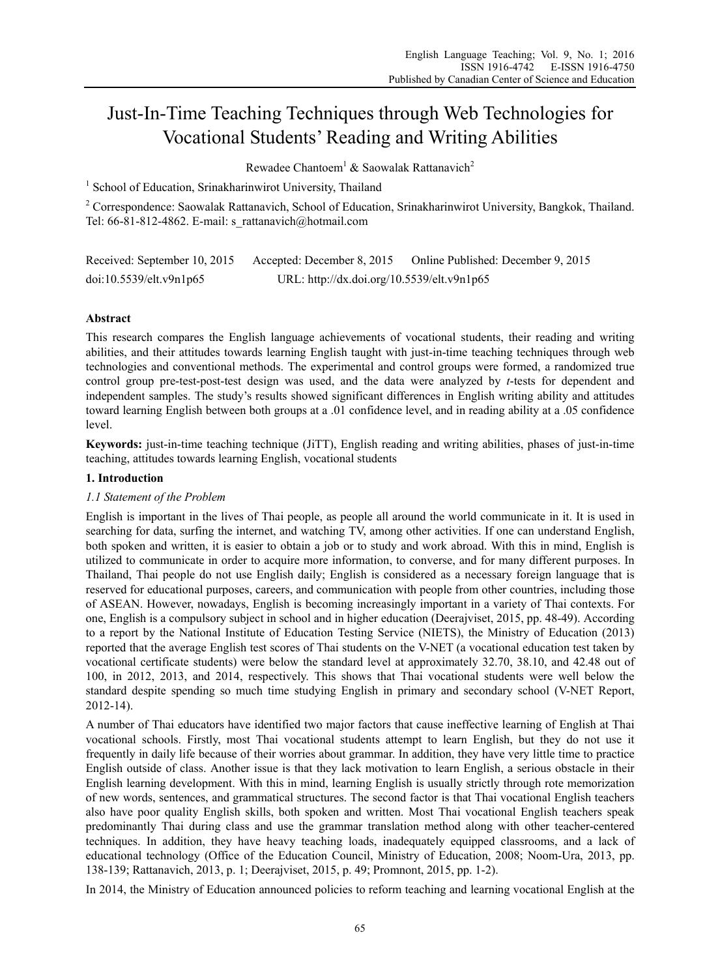# Just-In-Time Teaching Techniques through Web Technologies for Vocational Students' Reading and Writing Abilities

Rewadee Chantoem<sup>1</sup> & Saowalak Rattanavich<sup>2</sup>

<sup>1</sup> School of Education, Srinakharinwirot University, Thailand

<sup>2</sup> Correspondence: Saowalak Rattanavich, School of Education, Srinakharinwirot University, Bangkok, Thailand. Tel: 66-81-812-4862. E-mail: s\_rattanavich@hotmail.com

| Received: September 10, 2015 | Accepted: December 8, 2015                 | Online Published: December 9, 2015 |
|------------------------------|--------------------------------------------|------------------------------------|
| doi:10.5539/elt.v9n1p65      | URL: http://dx.doi.org/10.5539/elt.v9n1p65 |                                    |

# **Abstract**

This research compares the English language achievements of vocational students, their reading and writing abilities, and their attitudes towards learning English taught with just-in-time teaching techniques through web technologies and conventional methods. The experimental and control groups were formed, a randomized true control group pre-test-post-test design was used, and the data were analyzed by *t*-tests for dependent and independent samples. The study's results showed significant differences in English writing ability and attitudes toward learning English between both groups at a .01 confidence level, and in reading ability at a .05 confidence level.

**Keywords:** just-in-time teaching technique (JiTT), English reading and writing abilities, phases of just-in-time teaching, attitudes towards learning English, vocational students

## **1. Introduction**

## *1.1 Statement of the Problem*

English is important in the lives of Thai people, as people all around the world communicate in it. It is used in searching for data, surfing the internet, and watching TV, among other activities. If one can understand English, both spoken and written, it is easier to obtain a job or to study and work abroad. With this in mind, English is utilized to communicate in order to acquire more information, to converse, and for many different purposes. In Thailand, Thai people do not use English daily; English is considered as a necessary foreign language that is reserved for educational purposes, careers, and communication with people from other countries, including those of ASEAN. However, nowadays, English is becoming increasingly important in a variety of Thai contexts. For one, English is a compulsory subject in school and in higher education (Deerajviset, 2015, pp. 48-49). According to a report by the National Institute of Education Testing Service (NIETS), the Ministry of Education (2013) reported that the average English test scores of Thai students on the V-NET (a vocational education test taken by vocational certificate students) were below the standard level at approximately 32.70, 38.10, and 42.48 out of 100, in 2012, 2013, and 2014, respectively. This shows that Thai vocational students were well below the standard despite spending so much time studying English in primary and secondary school (V-NET Report, 2012-14).

A number of Thai educators have identified two major factors that cause ineffective learning of English at Thai vocational schools. Firstly, most Thai vocational students attempt to learn English, but they do not use it frequently in daily life because of their worries about grammar. In addition, they have very little time to practice English outside of class. Another issue is that they lack motivation to learn English, a serious obstacle in their English learning development. With this in mind, learning English is usually strictly through rote memorization of new words, sentences, and grammatical structures. The second factor is that Thai vocational English teachers also have poor quality English skills, both spoken and written. Most Thai vocational English teachers speak predominantly Thai during class and use the grammar translation method along with other teacher-centered techniques. In addition, they have heavy teaching loads, inadequately equipped classrooms, and a lack of educational technology (Office of the Education Council, Ministry of Education, 2008; Noom-Ura, 2013, pp. 138-139; Rattanavich, 2013, p. 1; Deerajviset, 2015, p. 49; Promnont, 2015, pp. 1-2).

In 2014, the Ministry of Education announced policies to reform teaching and learning vocational English at the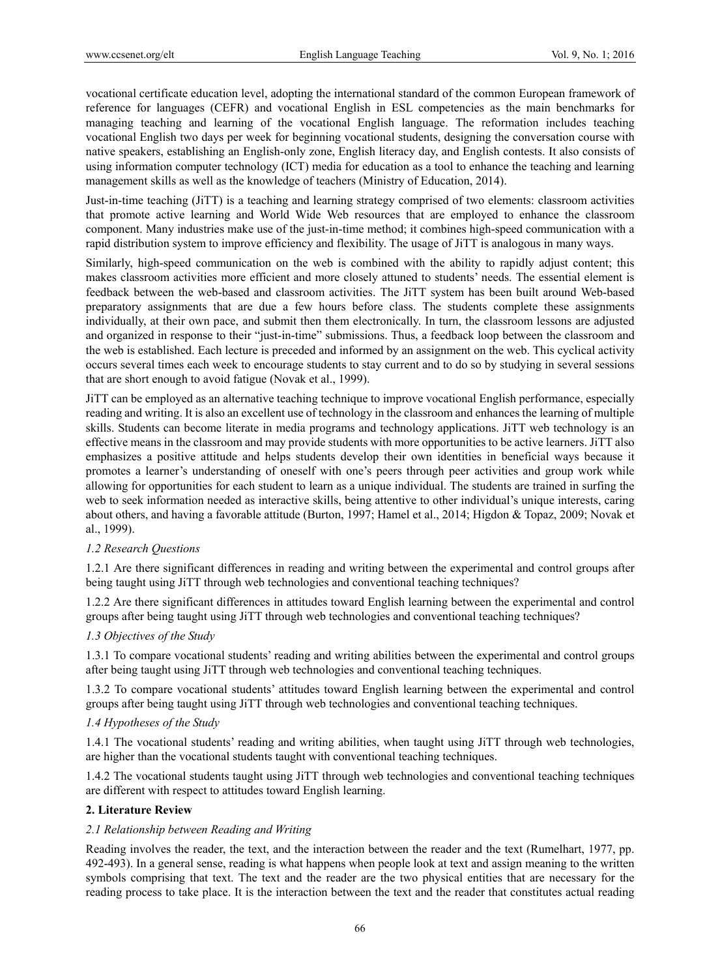vocational certificate education level, adopting the international standard of the common European framework of reference for languages (CEFR) and vocational English in ESL competencies as the main benchmarks for managing teaching and learning of the vocational English language. The reformation includes teaching vocational English two days per week for beginning vocational students, designing the conversation course with native speakers, establishing an English-only zone, English literacy day, and English contests. It also consists of using information computer technology (ICT) media for education as a tool to enhance the teaching and learning management skills as well as the knowledge of teachers (Ministry of Education, 2014).

Just-in-time teaching (JiTT) is a teaching and learning strategy comprised of two elements: classroom activities that promote active learning and World Wide Web resources that are employed to enhance the classroom component. Many industries make use of the just-in-time method; it combines high-speed communication with a rapid distribution system to improve efficiency and flexibility. The usage of JiTT is analogous in many ways.

Similarly, high-speed communication on the web is combined with the ability to rapidly adjust content; this makes classroom activities more efficient and more closely attuned to students' needs. The essential element is feedback between the web-based and classroom activities. The JiTT system has been built around Web-based preparatory assignments that are due a few hours before class. The students complete these assignments individually, at their own pace, and submit then them electronically. In turn, the classroom lessons are adjusted and organized in response to their "just-in-time" submissions. Thus, a feedback loop between the classroom and the web is established. Each lecture is preceded and informed by an assignment on the web. This cyclical activity occurs several times each week to encourage students to stay current and to do so by studying in several sessions that are short enough to avoid fatigue (Novak et al., 1999).

JiTT can be employed as an alternative teaching technique to improve vocational English performance, especially reading and writing. It is also an excellent use of technology in the classroom and enhances the learning of multiple skills. Students can become literate in media programs and technology applications. JiTT web technology is an effective means in the classroom and may provide students with more opportunities to be active learners. JiTT also emphasizes a positive attitude and helps students develop their own identities in beneficial ways because it promotes a learner's understanding of oneself with one's peers through peer activities and group work while allowing for opportunities for each student to learn as a unique individual. The students are trained in surfing the web to seek information needed as interactive skills, being attentive to other individual's unique interests, caring about others, and having a favorable attitude (Burton, 1997; Hamel et al., 2014; Higdon & Topaz, 2009; Novak et al., 1999).

## *1.2 Research Questions*

1.2.1 Are there significant differences in reading and writing between the experimental and control groups after being taught using JiTT through web technologies and conventional teaching techniques?

1.2.2 Are there significant differences in attitudes toward English learning between the experimental and control groups after being taught using JiTT through web technologies and conventional teaching techniques?

## *1.3 Objectives of the Study*

1.3.1 To compare vocational students' reading and writing abilities between the experimental and control groups after being taught using JiTT through web technologies and conventional teaching techniques.

1.3.2 To compare vocational students' attitudes toward English learning between the experimental and control groups after being taught using JiTT through web technologies and conventional teaching techniques.

## *1.4 Hypotheses of the Study*

1.4.1 The vocational students' reading and writing abilities, when taught using JiTT through web technologies, are higher than the vocational students taught with conventional teaching techniques.

1.4.2 The vocational students taught using JiTT through web technologies and conventional teaching techniques are different with respect to attitudes toward English learning.

## **2. Literature Review**

## *2.1 Relationship between Reading and Writing*

Reading involves the reader, the text, and the interaction between the reader and the text (Rumelhart, 1977, pp. 492-493). In a general sense, reading is what happens when people look at text and assign meaning to the written symbols comprising that text. The text and the reader are the two physical entities that are necessary for the reading process to take place. It is the interaction between the text and the reader that constitutes actual reading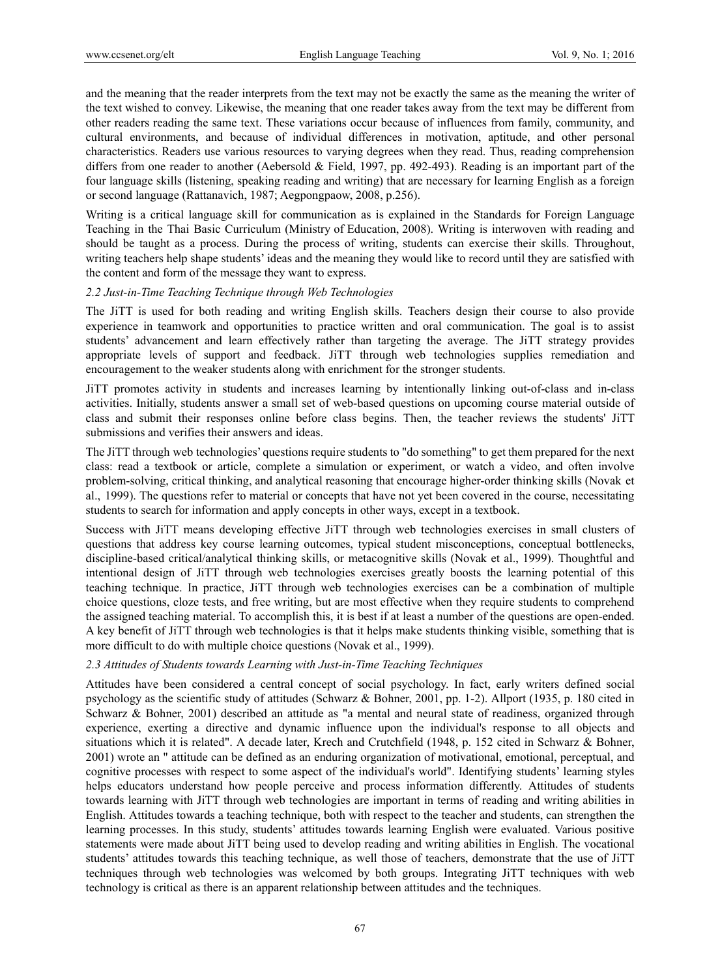and the meaning that the reader interprets from the text may not be exactly the same as the meaning the writer of the text wished to convey. Likewise, the meaning that one reader takes away from the text may be different from other readers reading the same text. These variations occur because of influences from family, community, and cultural environments, and because of individual differences in motivation, aptitude, and other personal characteristics. Readers use various resources to varying degrees when they read. Thus, reading comprehension differs from one reader to another (Aebersold & Field, 1997, pp. 492-493). Reading is an important part of the four language skills (listening, speaking reading and writing) that are necessary for learning English as a foreign or second language (Rattanavich, 1987; Aegpongpaow, 2008, p.256).

Writing is a critical language skill for communication as is explained in the Standards for Foreign Language Teaching in the Thai Basic Curriculum (Ministry of Education, 2008). Writing is interwoven with reading and should be taught as a process. During the process of writing, students can exercise their skills. Throughout, writing teachers help shape students' ideas and the meaning they would like to record until they are satisfied with the content and form of the message they want to express.

#### *2.2 Just-in-Time Teaching Technique through Web Technologies*

The JiTT is used for both reading and writing English skills. Teachers design their course to also provide experience in teamwork and opportunities to practice written and oral communication. The goal is to assist students' advancement and learn effectively rather than targeting the average. The JiTT strategy provides appropriate levels of support and feedback. JiTT through web technologies supplies remediation and encouragement to the weaker students along with enrichment for the stronger students.

JiTT promotes activity in students and increases learning by intentionally linking out-of-class and in-class activities. Initially, students answer a small set of web-based questions on upcoming course material outside of class and submit their responses online before class begins. Then, the teacher reviews the students' JiTT submissions and verifies their answers and ideas.

The JiTT through web technologies' questions require students to "do something" to get them prepared for the next class: read a textbook or article, complete a simulation or experiment, or watch a video, and often involve problem-solving, critical thinking, and analytical reasoning that encourage higher-order thinking skills (Novak et al., 1999). The questions refer to material or concepts that have not yet been covered in the course, necessitating students to search for information and apply concepts in other ways, except in a textbook.

Success with JiTT means developing effective JiTT through web technologies exercises in small clusters of questions that address key course learning outcomes, typical student misconceptions, conceptual bottlenecks, discipline-based critical/analytical thinking skills, or metacognitive skills (Novak et al., 1999). Thoughtful and intentional design of JiTT through web technologies exercises greatly boosts the learning potential of this teaching technique. In practice, JiTT through web technologies exercises can be a combination of multiple choice questions, cloze tests, and free writing, but are most effective when they require students to comprehend the assigned teaching material. To accomplish this, it is best if at least a number of the questions are open-ended. A key benefit of JiTT through web technologies is that it helps make students thinking visible, something that is more difficult to do with multiple choice questions (Novak et al., 1999).

## *2.3 Attitudes of Students towards Learning with Just-in-Time Teaching Techniques*

Attitudes have been considered a central concept of social psychology. In fact, early writers defined social psychology as the scientific study of attitudes (Schwarz & Bohner, 2001, pp. 1-2). Allport (1935, p. 180 cited in Schwarz & Bohner, 2001) described an attitude as "a mental and neural state of readiness, organized through experience, exerting a directive and dynamic influence upon the individual's response to all objects and situations which it is related". A decade later, Krech and Crutchfield (1948, p. 152 cited in Schwarz & Bohner, 2001) wrote an " attitude can be defined as an enduring organization of motivational, emotional, perceptual, and cognitive processes with respect to some aspect of the individual's world". Identifying students' learning styles helps educators understand how people perceive and process information differently. Attitudes of students towards learning with JiTT through web technologies are important in terms of reading and writing abilities in English. Attitudes towards a teaching technique, both with respect to the teacher and students, can strengthen the learning processes. In this study, students' attitudes towards learning English were evaluated. Various positive statements were made about JiTT being used to develop reading and writing abilities in English. The vocational students' attitudes towards this teaching technique, as well those of teachers, demonstrate that the use of JiTT techniques through web technologies was welcomed by both groups. Integrating JiTT techniques with web technology is critical as there is an apparent relationship between attitudes and the techniques.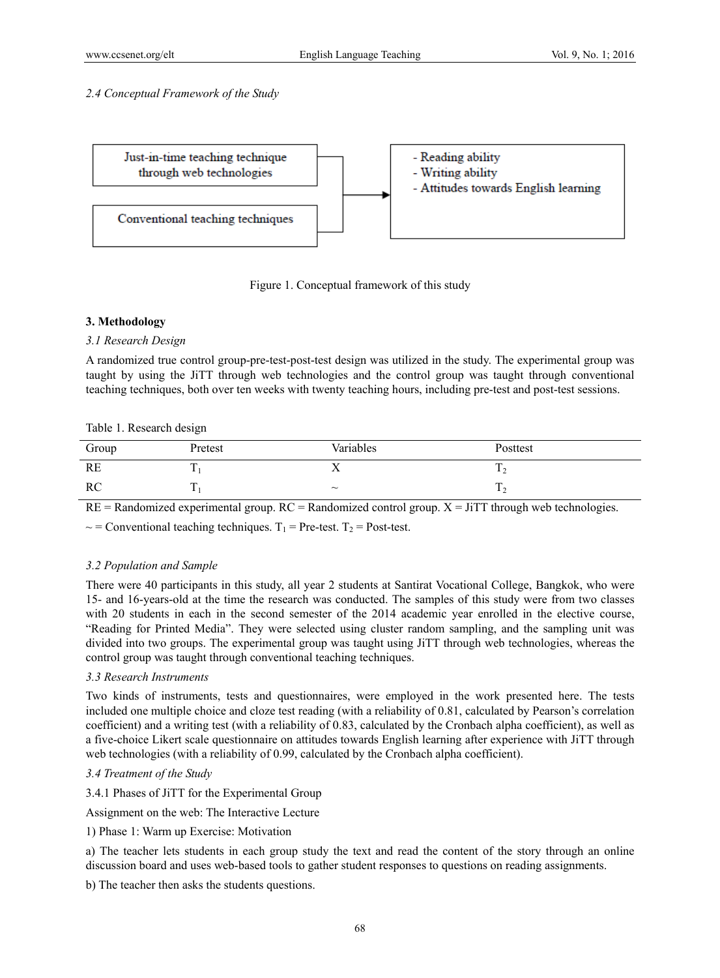## *2.4 Conceptual Framework of the Study*





## **3. Methodology**

## *3.1 Research Design*

A randomized true control group-pre-test-post-test design was utilized in the study. The experimental group was taught by using the JiTT through web technologies and the control group was taught through conventional teaching techniques, both over ten weeks with twenty teaching hours, including pre-test and post-test sessions.

## Table 1. Research design

| Group     | Pretest | Variables                 | Posttest |
|-----------|---------|---------------------------|----------|
| <b>RE</b> | —       | $\overline{\phantom{a}}$  | m<br>-   |
| <b>RC</b> |         | $\widetilde{\phantom{m}}$ | Ē        |

 $RE =$  Randomized experimental group.  $RC =$  Randomized control group.  $X =$  JiTT through web technologies.

 $\sim$  = Conventional teaching techniques. T<sub>1</sub> = Pre-test. T<sub>2</sub> = Post-test.

## *3.2 Population and Sample*

There were 40 participants in this study, all year 2 students at Santirat Vocational College, Bangkok, who were 15- and 16-years-old at the time the research was conducted. The samples of this study were from two classes with 20 students in each in the second semester of the 2014 academic year enrolled in the elective course, "Reading for Printed Media". They were selected using cluster random sampling, and the sampling unit was divided into two groups. The experimental group was taught using JiTT through web technologies, whereas the control group was taught through conventional teaching techniques.

## *3.3 Research Instruments*

Two kinds of instruments, tests and questionnaires, were employed in the work presented here. The tests included one multiple choice and cloze test reading (with a reliability of 0.81, calculated by Pearson's correlation coefficient) and a writing test (with a reliability of 0.83, calculated by the Cronbach alpha coefficient), as well as a five-choice Likert scale questionnaire on attitudes towards English learning after experience with JiTT through web technologies (with a reliability of 0.99, calculated by the Cronbach alpha coefficient).

## *3.4 Treatment of the Study*

3.4.1 Phases of JiTT for the Experimental Group

- Assignment on the web: The Interactive Lecture
- 1) Phase 1: Warm up Exercise: Motivation

a) The teacher lets students in each group study the text and read the content of the story through an online discussion board and uses web-based tools to gather student responses to questions on reading assignments.

b) The teacher then asks the students questions.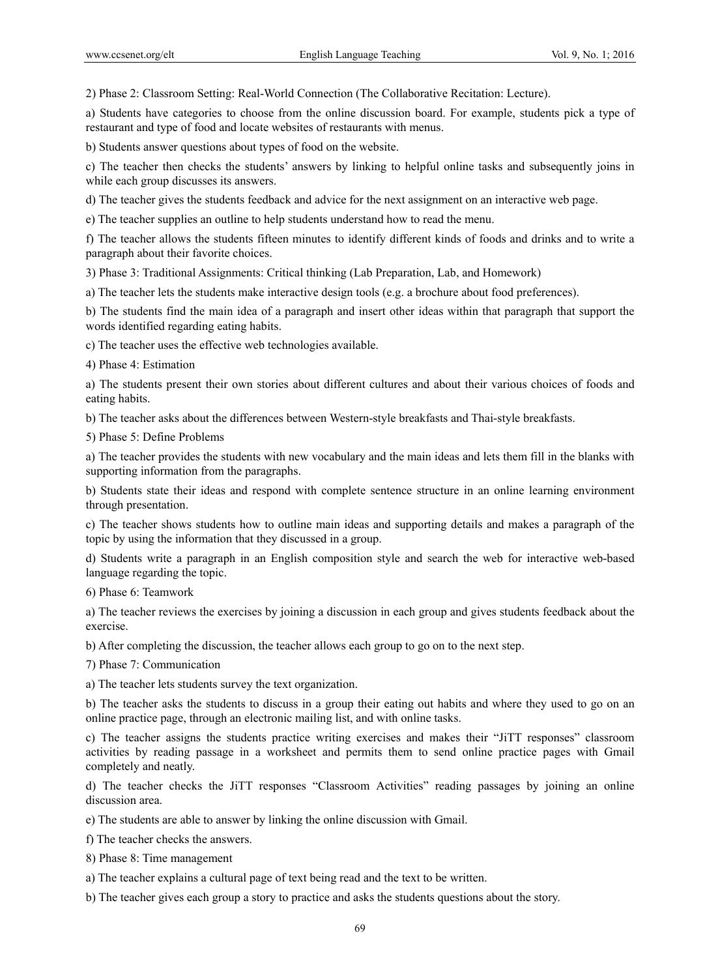2) Phase 2: Classroom Setting: Real-World Connection (The Collaborative Recitation: Lecture).

a) Students have categories to choose from the online discussion board. For example, students pick a type of restaurant and type of food and locate websites of restaurants with menus.

b) Students answer questions about types of food on the website.

c) The teacher then checks the students' answers by linking to helpful online tasks and subsequently joins in while each group discusses its answers.

d) The teacher gives the students feedback and advice for the next assignment on an interactive web page.

e) The teacher supplies an outline to help students understand how to read the menu.

f) The teacher allows the students fifteen minutes to identify different kinds of foods and drinks and to write a paragraph about their favorite choices.

3) Phase 3: Traditional Assignments: Critical thinking (Lab Preparation, Lab, and Homework)

a) The teacher lets the students make interactive design tools (e.g. a brochure about food preferences).

b) The students find the main idea of a paragraph and insert other ideas within that paragraph that support the words identified regarding eating habits.

c) The teacher uses the effective web technologies available.

4) Phase 4: Estimation

a) The students present their own stories about different cultures and about their various choices of foods and eating habits.

b) The teacher asks about the differences between Western-style breakfasts and Thai-style breakfasts.

5) Phase 5: Define Problems

a) The teacher provides the students with new vocabulary and the main ideas and lets them fill in the blanks with supporting information from the paragraphs.

b) Students state their ideas and respond with complete sentence structure in an online learning environment through presentation.

c) The teacher shows students how to outline main ideas and supporting details and makes a paragraph of the topic by using the information that they discussed in a group.

d) Students write a paragraph in an English composition style and search the web for interactive web-based language regarding the topic.

6) Phase 6: Teamwork

a) The teacher reviews the exercises by joining a discussion in each group and gives students feedback about the exercise.

b) After completing the discussion, the teacher allows each group to go on to the next step.

7) Phase 7: Communication

a) The teacher lets students survey the text organization.

b) The teacher asks the students to discuss in a group their eating out habits and where they used to go on an online practice page, through an electronic mailing list, and with online tasks.

c) The teacher assigns the students practice writing exercises and makes their "JiTT responses" classroom activities by reading passage in a worksheet and permits them to send online practice pages with Gmail completely and neatly.

d) The teacher checks the JiTT responses "Classroom Activities" reading passages by joining an online discussion area.

e) The students are able to answer by linking the online discussion with Gmail.

f) The teacher checks the answers.

8) Phase 8: Time management

a) The teacher explains a cultural page of text being read and the text to be written.

b) The teacher gives each group a story to practice and asks the students questions about the story.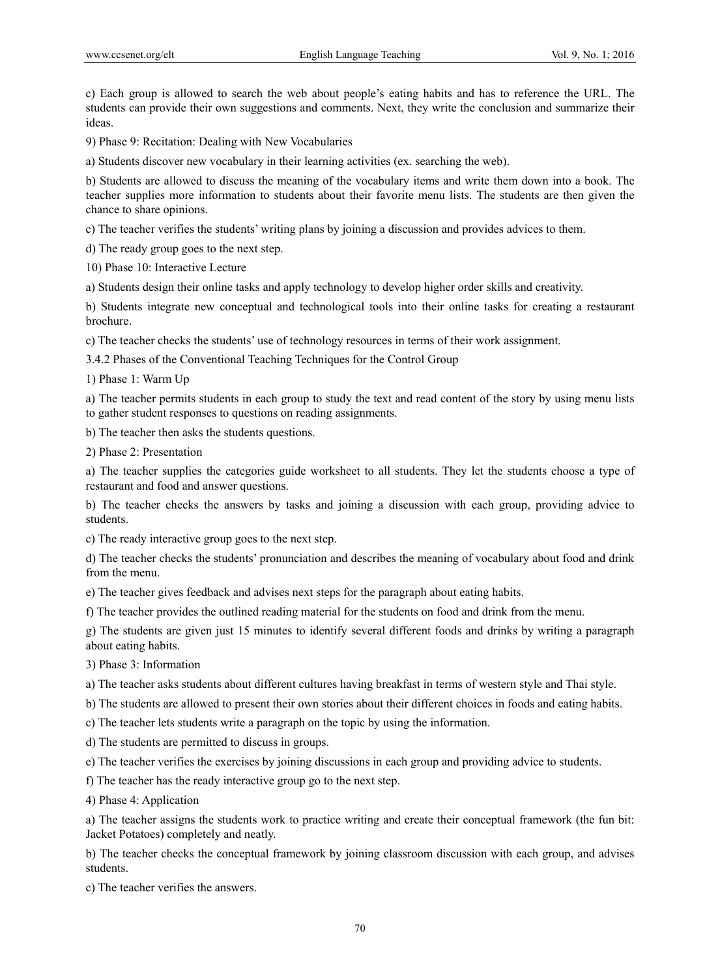c) Each group is allowed to search the web about people's eating habits and has to reference the URL. The students can provide their own suggestions and comments. Next, they write the conclusion and summarize their ideas.

9) Phase 9: Recitation: Dealing with New Vocabularies

a) Students discover new vocabulary in their learning activities (ex. searching the web).

b) Students are allowed to discuss the meaning of the vocabulary items and write them down into a book. The teacher supplies more information to students about their favorite menu lists. The students are then given the chance to share opinions.

c) The teacher verifies the students' writing plans by joining a discussion and provides advices to them.

d) The ready group goes to the next step.

10) Phase 10: Interactive Lecture

a) Students design their online tasks and apply technology to develop higher order skills and creativity.

b) Students integrate new conceptual and technological tools into their online tasks for creating a restaurant brochure.

c) The teacher checks the students' use of technology resources in terms of their work assignment.

3.4.2 Phases of the Conventional Teaching Techniques for the Control Group

1) Phase 1: Warm Up

a) The teacher permits students in each group to study the text and read content of the story by using menu lists to gather student responses to questions on reading assignments.

b) The teacher then asks the students questions.

2) Phase 2: Presentation

a) The teacher supplies the categories guide worksheet to all students. They let the students choose a type of restaurant and food and answer questions.

b) The teacher checks the answers by tasks and joining a discussion with each group, providing advice to students.

c) The ready interactive group goes to the next step.

d) The teacher checks the students' pronunciation and describes the meaning of vocabulary about food and drink from the menu.

e) The teacher gives feedback and advises next steps for the paragraph about eating habits.

f) The teacher provides the outlined reading material for the students on food and drink from the menu.

g) The students are given just 15 minutes to identify several different foods and drinks by writing a paragraph about eating habits.

3) Phase 3: Information

a) The teacher asks students about different cultures having breakfast in terms of western style and Thai style.

b) The students are allowed to present their own stories about their different choices in foods and eating habits.

c) The teacher lets students write a paragraph on the topic by using the information.

d) The students are permitted to discuss in groups.

e) The teacher verifies the exercises by joining discussions in each group and providing advice to students.

f) The teacher has the ready interactive group go to the next step.

4) Phase 4: Application

a) The teacher assigns the students work to practice writing and create their conceptual framework (the fun bit: Jacket Potatoes) completely and neatly.

b) The teacher checks the conceptual framework by joining classroom discussion with each group, and advises students.

c) The teacher verifies the answers.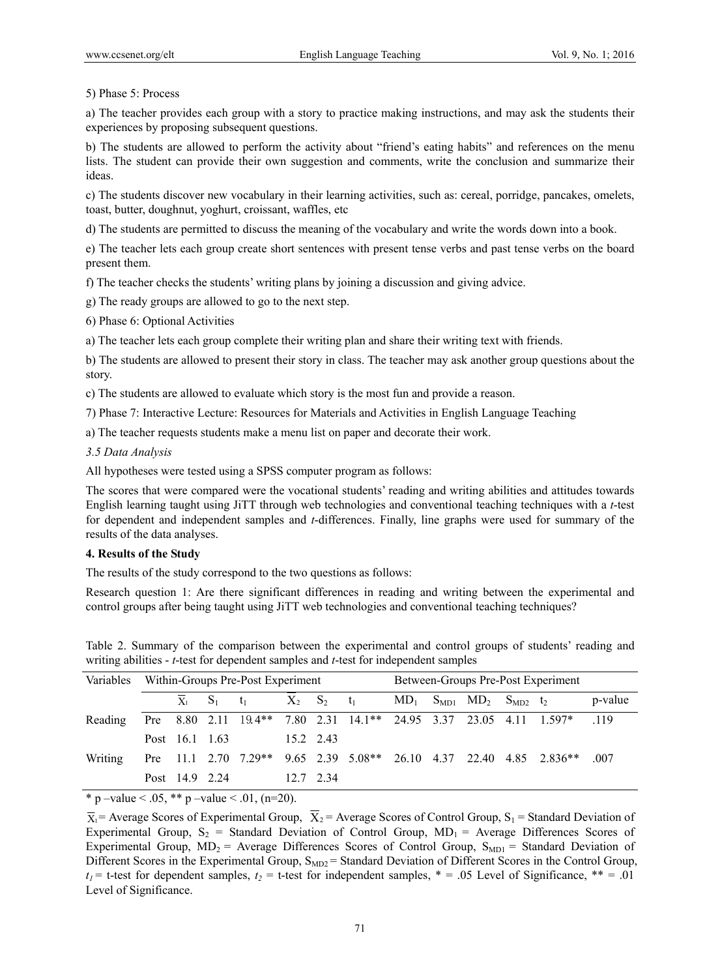#### 5) Phase 5: Process

a) The teacher provides each group with a story to practice making instructions, and may ask the students their experiences by proposing subsequent questions.

b) The students are allowed to perform the activity about "friend's eating habits" and references on the menu lists. The student can provide their own suggestion and comments, write the conclusion and summarize their ideas.

c) The students discover new vocabulary in their learning activities, such as: cereal, porridge, pancakes, omelets, toast, butter, doughnut, yoghurt, croissant, waffles, etc

d) The students are permitted to discuss the meaning of the vocabulary and write the words down into a book.

e) The teacher lets each group create short sentences with present tense verbs and past tense verbs on the board present them.

f) The teacher checks the students' writing plans by joining a discussion and giving advice.

g) The ready groups are allowed to go to the next step.

6) Phase 6: Optional Activities

a) The teacher lets each group complete their writing plan and share their writing text with friends.

b) The students are allowed to present their story in class. The teacher may ask another group questions about the story.

c) The students are allowed to evaluate which story is the most fun and provide a reason.

7) Phase 7: Interactive Lecture: Resources for Materials and Activities in English Language Teaching

a) The teacher requests students make a menu list on paper and decorate their work.

*3.5 Data Analysis*

All hypotheses were tested using a SPSS computer program as follows:

The scores that were compared were the vocational students' reading and writing abilities and attitudes towards English learning taught using JiTT through web technologies and conventional teaching techniques with a *t*-test for dependent and independent samples and *t*-differences. Finally, line graphs were used for summary of the results of the data analyses.

#### **4. Results of the Study**

The results of the study correspond to the two questions as follows:

Research question 1: Are there significant differences in reading and writing between the experimental and control groups after being taught using JiTT web technologies and conventional teaching techniques?

| Variables | Within-Groups Pre-Post Experiment |                |                    |                                                                    |           |  |  |                                         | Between-Groups Pre-Post Experiment |  |  |                                                                     |         |  |  |
|-----------|-----------------------------------|----------------|--------------------|--------------------------------------------------------------------|-----------|--|--|-----------------------------------------|------------------------------------|--|--|---------------------------------------------------------------------|---------|--|--|
|           |                                   |                |                    | $\overline{X}_1$ $S_1$ $t_1$ $X_2$ $S_2$ $t_1$                     |           |  |  | $MD_1$ $S_{MD1}$ $MD_2$ $S_{MD2}$ $t_2$ |                                    |  |  |                                                                     | p-value |  |  |
| Reading   |                                   |                |                    | Pre 8.80 2.11 19.4** 7.80 2.31 14.1** 24.95 3.37 23.05 4.11 1.597* |           |  |  |                                         |                                    |  |  |                                                                     | .119    |  |  |
|           |                                   |                | Post $16.1$ $1.63$ |                                                                    | 15.2 2.43 |  |  |                                         |                                    |  |  |                                                                     |         |  |  |
| Writing   |                                   |                |                    |                                                                    |           |  |  |                                         |                                    |  |  | Pre 11.1 2.70 7.29** 9.65 2.39 5.08** 26.10 4.37 22.40 4.85 2.836** | .007    |  |  |
|           |                                   | Post 14.9 2.24 |                    |                                                                    | 12.7 2.34 |  |  |                                         |                                    |  |  |                                                                     |         |  |  |

Table 2. Summary of the comparison between the experimental and control groups of students' reading and writing abilities - *t*-test for dependent samples and *t*-test for independent samples

\* p –value < .05, \*\* p –value < .01,  $(n=20)$ .

 $\overline{X}_1$  = Average Scores of Experimental Group,  $\overline{X}_2$  = Average Scores of Control Group, S<sub>1</sub> = Standard Deviation of Experimental Group,  $S_2$  = Standard Deviation of Control Group,  $MD_1$  = Average Differences Scores of Experimental Group,  $MD_2$  = Average Differences Scores of Control Group,  $S_{MD1}$  = Standard Deviation of Different Scores in the Experimental Group,  $S_{MD2}$  = Standard Deviation of Different Scores in the Control Group,  $t_1$  = t-test for dependent samples,  $t_2$  = t-test for independent samples,  $* = .05$  Level of Significance,  $** = .01$ Level of Significance.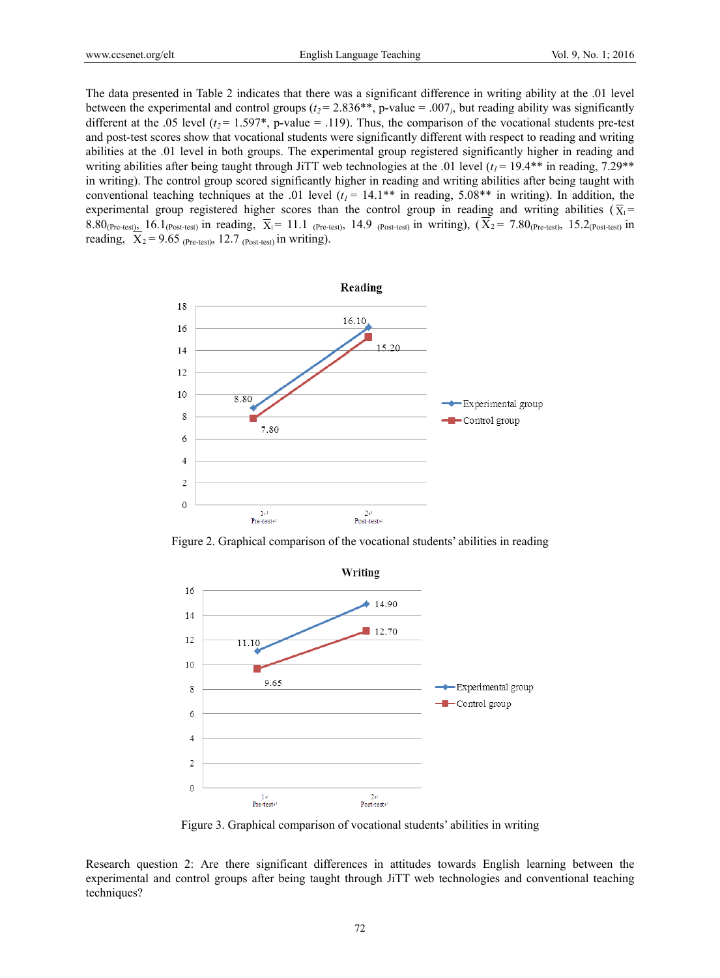The data presented in Table 2 indicates that there was a significant difference in writing ability at the .01 level between the experimental and control groups ( $t_2$  = 2.836<sup>\*</sup>, p-value = .007<sub>)</sub>, but reading ability was significantly different at the .05 level  $(t_2 = 1.597^*$ , p-value = .119). Thus, the comparison of the vocational students pre-test and post-test scores show that vocational students were significantly different with respect to reading and writing abilities at the .01 level in both groups. The experimental group registered significantly higher in reading and writing abilities after being taught through JiTT web technologies at the .01 level  $(t_1 = 19.4**$  in reading, 7.29<sup>\*\*</sup> in writing). The control group scored significantly higher in reading and writing abilities after being taught with conventional teaching techniques at the .01 level  $(t_1 = 14.1**$  in reading, 5.08<sup>\*\*</sup> in writing). In addition, the experimental group registered higher scores than the control group in reading and writing abilities ( $\bar{x}_1$ = 8.80<sub>(Pre-test)</sub>, 16.1<sub>(Post-test)</sub> in reading,  $\overline{X}_1$  = 11.1<sub>(Pre-test)</sub>, 14.9<sub>(Post-test)</sub> in writing),  $(\overline{X}_2$  = 7.80<sub>(Pre-test)</sub>, 15.2<sub>(Post-test)</sub> in reading,  $\overline{X}_2 = 9.65$  (Pre-test), 12.7 (Post-test) in writing).



Figure 2. Graphical comparison of the vocational students' abilities in reading



Figure 3. Graphical comparison of vocational students' abilities in writing

Research question 2: Are there significant differences in attitudes towards English learning between the experimental and control groups after being taught through JiTT web technologies and conventional teaching techniques?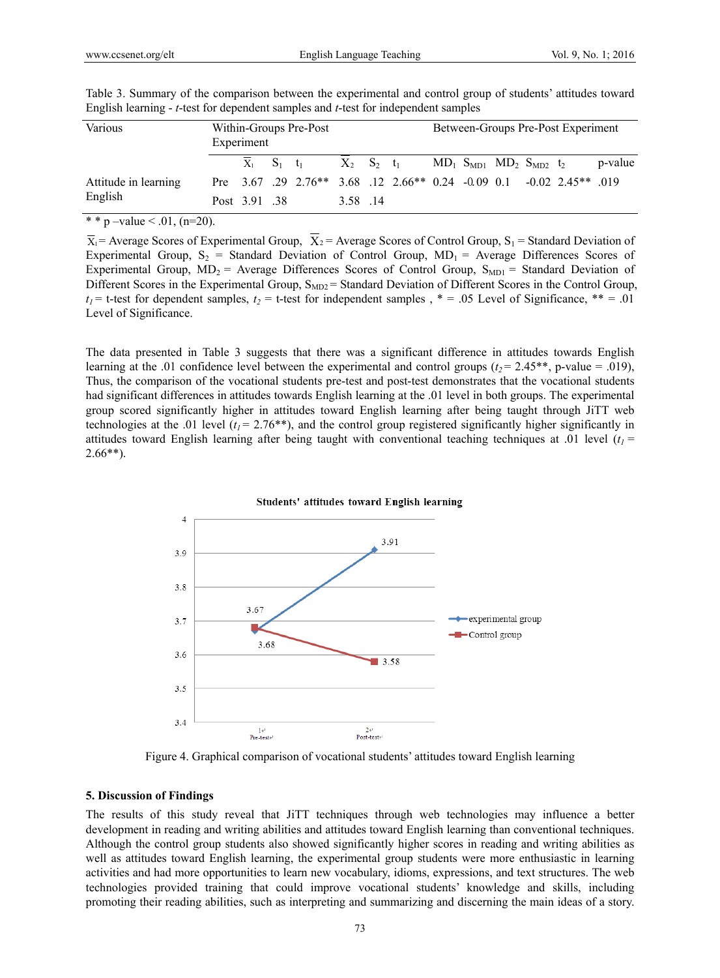| Various              | Within-Groups Pre-Post<br>Experiment |                   |  |                                                                      |                   |  |  | Between-Groups Pre-Post Experiment |                                         |  |  |  |         |
|----------------------|--------------------------------------|-------------------|--|----------------------------------------------------------------------|-------------------|--|--|------------------------------------|-----------------------------------------|--|--|--|---------|
|                      |                                      | $X_1$ $S_1$ $t_1$ |  |                                                                      | $X_2$ $S_2$ $t_1$ |  |  |                                    | $MD_1$ $S_{MD1}$ $MD_2$ $S_{MD2}$ $t_2$ |  |  |  | p-value |
| Attitude in learning |                                      |                   |  | Pre 3.67 .29 2.76** 3.68 .12 2.66** 0.24 -0.09 0.1 -0.02 2.45** .019 |                   |  |  |                                    |                                         |  |  |  |         |
| English              |                                      | Post 3.91 .38     |  |                                                                      | 3.58 .14          |  |  |                                    |                                         |  |  |  |         |

Table 3. Summary of the comparison between the experimental and control group of students' attitudes toward English learning - *t*-test for dependent samples and *t*-test for independent samples

\* \* p –value < .01,  $(n=20)$ 

 $\overline{X}_1$  = Average Scores of Experimental Group,  $\overline{X}_2$  = Average Scores of Control Group, S<sub>1</sub> = Standard Deviation of Experimental Group,  $S_2$  = Standard Deviation of Control Group,  $MD_1$  = Average Differences Scores of Experimental Group,  $MD_2$  = Average Differences Scores of Control Group,  $S_{MD1}$  = Standard Deviation of Different Scores in the Experimental Group,  $S_{MD2}$  = Standard Deviation of Different Scores in the Control Group,  $t_1$  = t-test for dependent samples,  $t_2$  = t-test for independent samples, \* = .05 Level of Significance, \*\* = .01 Level of Significance.

The data presented in Table 3 suggests that there was a significant difference in attitudes towards English learning at the .01 confidence level between the experimental and control groups ( $t_2$  = 2.45<sup>\*\*</sup>, p-value = .019), Thus, the comparison of the vocational students pre-test and post-test demonstrates that the vocational students had significant differences in attitudes towards English learning at the .01 level in both groups. The experimental group scored significantly higher in attitudes toward English learning after being taught through JiTT web technologies at the .01 level  $(t_1 = 2.76**)$ , and the control group registered significantly higher significantly in attitudes toward English learning after being taught with conventional teaching techniques at .01 level  $(t_1 =$  $2.66**$ ).



Figure 4. Graphical comparison of vocational students' attitudes toward English learning

#### **5. Discussion of Findings**

The results of this study reveal that JiTT techniques through web technologies may influence a better development in reading and writing abilities and attitudes toward English learning than conventional techniques. Although the control group students also showed significantly higher scores in reading and writing abilities as well as attitudes toward English learning, the experimental group students were more enthusiastic in learning activities and had more opportunities to learn new vocabulary, idioms, expressions, and text structures. The web technologies provided training that could improve vocational students' knowledge and skills, including promoting their reading abilities, such as interpreting and summarizing and discerning the main ideas of a story.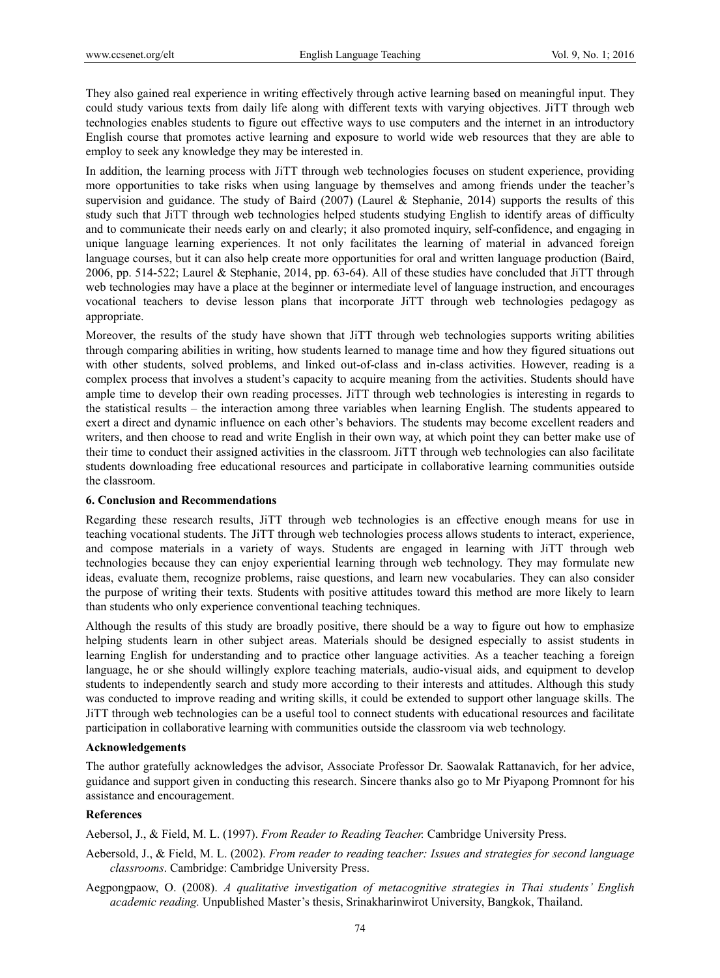They also gained real experience in writing effectively through active learning based on meaningful input. They could study various texts from daily life along with different texts with varying objectives. JiTT through web technologies enables students to figure out effective ways to use computers and the internet in an introductory English course that promotes active learning and exposure to world wide web resources that they are able to employ to seek any knowledge they may be interested in.

In addition, the learning process with JiTT through web technologies focuses on student experience, providing more opportunities to take risks when using language by themselves and among friends under the teacher's supervision and guidance. The study of Baird (2007) (Laurel & Stephanie, 2014) supports the results of this study such that JiTT through web technologies helped students studying English to identify areas of difficulty and to communicate their needs early on and clearly; it also promoted inquiry, self-confidence, and engaging in unique language learning experiences. It not only facilitates the learning of material in advanced foreign language courses, but it can also help create more opportunities for oral and written language production (Baird, 2006, pp. 514-522; Laurel & Stephanie, 2014, pp. 63-64). All of these studies have concluded that JiTT through web technologies may have a place at the beginner or intermediate level of language instruction, and encourages vocational teachers to devise lesson plans that incorporate JiTT through web technologies pedagogy as appropriate.

Moreover, the results of the study have shown that JiTT through web technologies supports writing abilities through comparing abilities in writing, how students learned to manage time and how they figured situations out with other students, solved problems, and linked out-of-class and in-class activities. However, reading is a complex process that involves a student's capacity to acquire meaning from the activities. Students should have ample time to develop their own reading processes. JiTT through web technologies is interesting in regards to the statistical results – the interaction among three variables when learning English. The students appeared to exert a direct and dynamic influence on each other's behaviors. The students may become excellent readers and writers, and then choose to read and write English in their own way, at which point they can better make use of their time to conduct their assigned activities in the classroom. JiTT through web technologies can also facilitate students downloading free educational resources and participate in collaborative learning communities outside the classroom.

## **6. Conclusion and Recommendations**

Regarding these research results, JiTT through web technologies is an effective enough means for use in teaching vocational students. The JiTT through web technologies process allows students to interact, experience, and compose materials in a variety of ways. Students are engaged in learning with JiTT through web technologies because they can enjoy experiential learning through web technology. They may formulate new ideas, evaluate them, recognize problems, raise questions, and learn new vocabularies. They can also consider the purpose of writing their texts. Students with positive attitudes toward this method are more likely to learn than students who only experience conventional teaching techniques.

Although the results of this study are broadly positive, there should be a way to figure out how to emphasize helping students learn in other subject areas. Materials should be designed especially to assist students in learning English for understanding and to practice other language activities. As a teacher teaching a foreign language, he or she should willingly explore teaching materials, audio-visual aids, and equipment to develop students to independently search and study more according to their interests and attitudes. Although this study was conducted to improve reading and writing skills, it could be extended to support other language skills. The JiTT through web technologies can be a useful tool to connect students with educational resources and facilitate participation in collaborative learning with communities outside the classroom via web technology.

## **Acknowledgements**

The author gratefully acknowledges the advisor, Associate Professor Dr. Saowalak Rattanavich, for her advice, guidance and support given in conducting this research. Sincere thanks also go to Mr Piyapong Promnont for his assistance and encouragement.

## **References**

Aebersol, J., & Field, M. L. (1997). *From Reader to Reading Teacher.* Cambridge University Press.

- Aebersold, J., & Field, M. L. (2002). *From reader to reading teacher: Issues and strategies for second language classrooms*. Cambridge: Cambridge University Press.
- Aegpongpaow, O. (2008). *A qualitative investigation of metacognitive strategies in Thai students' English academic reading.* Unpublished Master's thesis, Srinakharinwirot University, Bangkok, Thailand.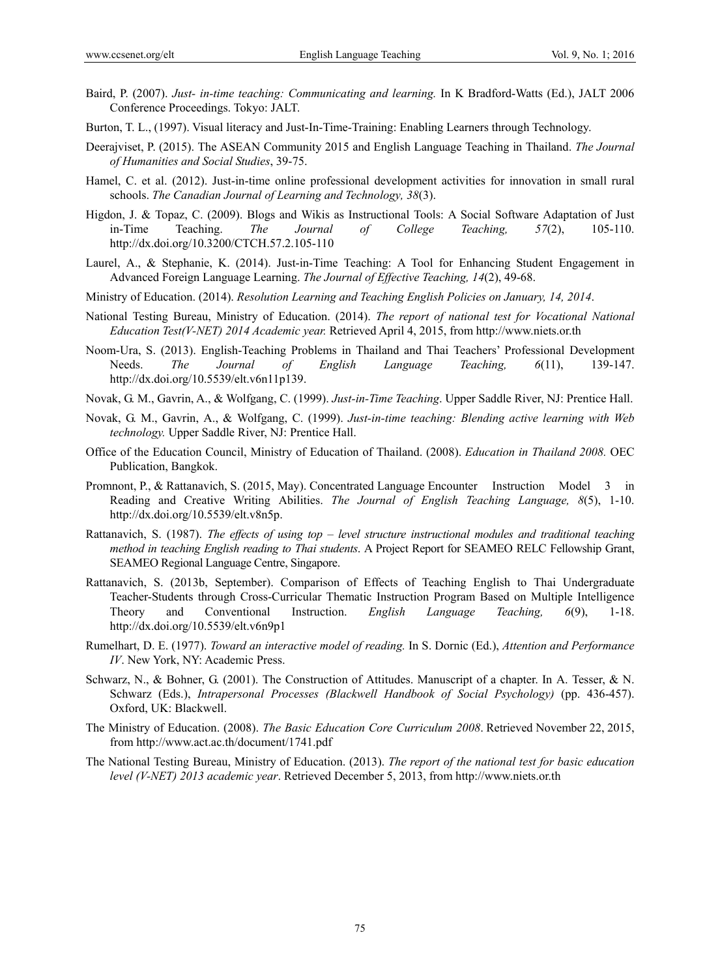- Baird, P. (2007). *Just- in-time teaching: Communicating and learning.* In K Bradford-Watts (Ed.), JALT 2006 Conference Proceedings. Tokyo: JALT.
- Burton, T. L., (1997). Visual literacy and Just-In-Time-Training: Enabling Learners through Technology.
- Deerajviset, P. (2015). The ASEAN Community 2015 and English Language Teaching in Thailand. *The Journal of Humanities and Social Studies*, 39-75.
- Hamel, C. et al. (2012). Just-in-time online professional development activities for innovation in small rural schools. *The Canadian Journal of Learning and Technology, 38*(3).
- Higdon, J. & Topaz, C. (2009). Blogs and Wikis as Instructional Tools: A Social Software Adaptation of Just in-Time Teaching. *The Journal of College Teaching, 57*(2), 105-110. http://dx.doi.org/10.3200/CTCH.57.2.105-110
- Laurel, A., & Stephanie, K. (2014). Just-in-Time Teaching: A Tool for Enhancing Student Engagement in Advanced Foreign Language Learning. *The Journal of Effective Teaching, 14*(2), 49-68.
- Ministry of Education. (2014). *Resolution Learning and Teaching English Policies on January, 14, 2014*.
- National Testing Bureau, Ministry of Education. (2014). *The report of national test for Vocational National Education Test(V-NET) 2014 Academic year.* Retrieved April 4, 2015, from http://www.niets.or.th
- Noom-Ura, S. (2013). English-Teaching Problems in Thailand and Thai Teachers' Professional Development Needs. *The Journal of English Language Teaching, 6*(11), 139-147. http://dx.doi.org/10.5539/elt.v6n11p139.
- Novak, G. M., Gavrin, A., & Wolfgang, C. (1999). *Just-in-Time Teaching*. Upper Saddle River, NJ: Prentice Hall.
- Novak, G. M., Gavrin, A., & Wolfgang, C. (1999). *Just-in-time teaching: Blending active learning with Web technology.* Upper Saddle River, NJ: Prentice Hall.
- Office of the Education Council, Ministry of Education of Thailand. (2008). *Education in Thailand 2008.* OEC Publication, Bangkok.
- Promnont, P., & Rattanavich, S. (2015, May). Concentrated Language Encounter Instruction Model 3 in Reading and Creative Writing Abilities. *The Journal of English Teaching Language, 8*(5), 1-10. http://dx.doi.org/10.5539/elt.v8n5p.
- Rattanavich, S. (1987). *The effects of using top level structure instructional modules and traditional teaching method in teaching English reading to Thai students*. A Project Report for SEAMEO RELC Fellowship Grant, SEAMEO Regional Language Centre, Singapore.
- Rattanavich, S. (2013b, September). Comparison of Effects of Teaching English to Thai Undergraduate Teacher-Students through Cross-Curricular Thematic Instruction Program Based on Multiple Intelligence Theory and Conventional Instruction. *English Language Teaching, 6*(9), 1-18. http://dx.doi.org/10.5539/elt.v6n9p1
- Rumelhart, D. E. (1977). *Toward an interactive model of reading.* In S. Dornic (Ed.), *Attention and Performance IV*. New York, NY: Academic Press.
- Schwarz, N., & Bohner, G. (2001). The Construction of Attitudes. Manuscript of a chapter. In A. Tesser, & N. Schwarz (Eds.), *Intrapersonal Processes (Blackwell Handbook of Social Psychology)* (pp. 436-457). Oxford, UK: Blackwell.
- The Ministry of Education. (2008). *The Basic Education Core Curriculum 2008*. Retrieved November 22, 2015, from http://www.act.ac.th/document/1741.pdf
- The National Testing Bureau, Ministry of Education. (2013). *The report of the national test for basic education level (V-NET) 2013 academic year*. Retrieved December 5, 2013, from http://www.niets.or.th